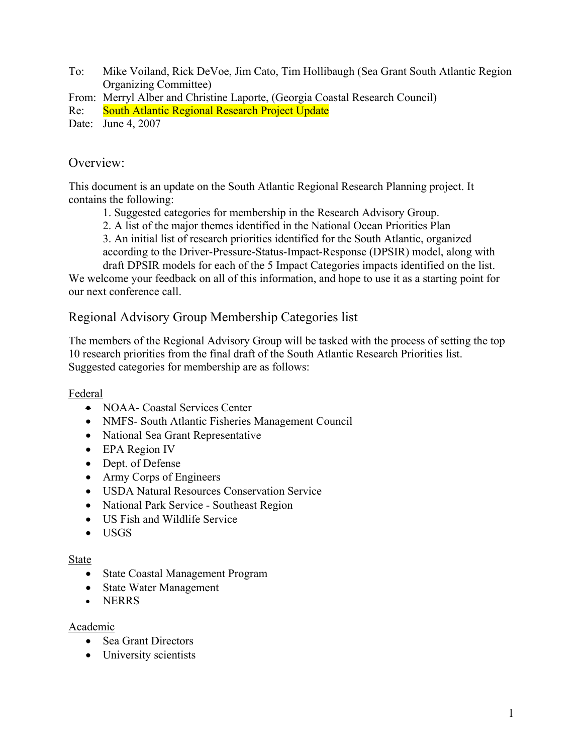To: Mike Voiland, Rick DeVoe, Jim Cato, Tim Hollibaugh (Sea Grant South Atlantic Region Organizing Committee)

From: Merryl Alber and Christine Laporte, (Georgia Coastal Research Council)

Re: South Atlantic Regional Research Project Update

Date: June 4, 2007

### Overview:

This document is an update on the South Atlantic Regional Research Planning project. It contains the following:

1. Suggested categories for membership in the Research Advisory Group.

2. A list of the major themes identified in the National Ocean Priorities Plan

3. An initial list of research priorities identified for the South Atlantic, organized according to the Driver-Pressure-Status-Impact-Response (DPSIR) model, along with

draft DPSIR models for each of the 5 Impact Categories impacts identified on the list.

We welcome your feedback on all of this information, and hope to use it as a starting point for our next conference call.

## Regional Advisory Group Membership Categories list

The members of the Regional Advisory Group will be tasked with the process of setting the top 10 research priorities from the final draft of the South Atlantic Research Priorities list. Suggested categories for membership are as follows:

### Federal

- NOAA- Coastal Services Center
- NMFS- South Atlantic Fisheries Management Council
- National Sea Grant Representative
- EPA Region IV
- Dept. of Defense
- Army Corps of Engineers
- USDA Natural Resources Conservation Service
- National Park Service Southeast Region
- US Fish and Wildlife Service
- USGS

#### State

- State Coastal Management Program
- State Water Management
- NERRS

#### Academic

- Sea Grant Directors
- University scientists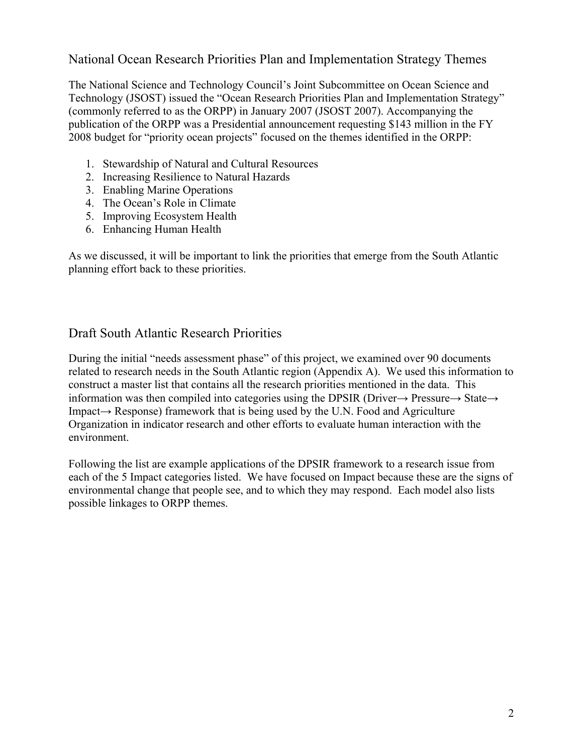## National Ocean Research Priorities Plan and Implementation Strategy Themes

The National Science and Technology Council's Joint Subcommittee on Ocean Science and Technology (JSOST) issued the "Ocean Research Priorities Plan and Implementation Strategy" (commonly referred to as the ORPP) in January 2007 (JSOST 2007). Accompanying the publication of the ORPP was a Presidential announcement requesting \$143 million in the FY 2008 budget for "priority ocean projects" focused on the themes identified in the ORPP:

- 1. Stewardship of Natural and Cultural Resources
- 2. Increasing Resilience to Natural Hazards
- 3. Enabling Marine Operations
- 4. The Ocean's Role in Climate
- 5. Improving Ecosystem Health
- 6. Enhancing Human Health

As we discussed, it will be important to link the priorities that emerge from the South Atlantic planning effort back to these priorities.

### Draft South Atlantic Research Priorities

During the initial "needs assessment phase" of this project, we examined over 90 documents related to research needs in the South Atlantic region (Appendix A). We used this information to construct a master list that contains all the research priorities mentioned in the data. This information was then compiled into categories using the DPSIR (Driver→ Pressure→ State→ Impact→ Response) framework that is being used by the U.N. Food and Agriculture Organization in indicator research and other efforts to evaluate human interaction with the environment.

Following the list are example applications of the DPSIR framework to a research issue from each of the 5 Impact categories listed. We have focused on Impact because these are the signs of environmental change that people see, and to which they may respond. Each model also lists possible linkages to ORPP themes.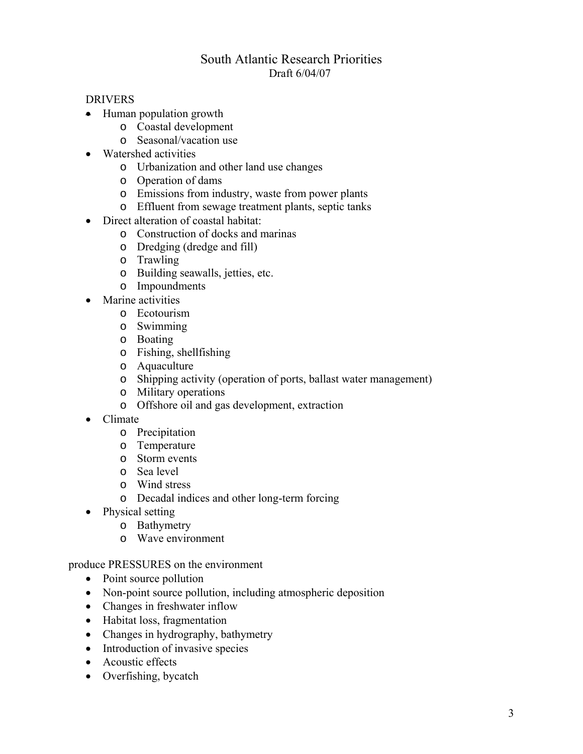## South Atlantic Research Priorities Draft 6/04/07

#### DRIVERS

- Human population growth
	- o Coastal development
	- o Seasonal/vacation use
- Watershed activities
	- o Urbanization and other land use changes
	- o Operation of dams
	- o Emissions from industry, waste from power plants
	- o Effluent from sewage treatment plants, septic tanks
- Direct alteration of coastal habitat:
	- o Construction of docks and marinas
	- o Dredging (dredge and fill)
	- o Trawling
	- o Building seawalls, jetties, etc.
	- o Impoundments
- Marine activities
	- o Ecotourism
	- o Swimming
	- o Boating
	- o Fishing, shellfishing
	- o Aquaculture
	- o Shipping activity (operation of ports, ballast water management)
	- o Military operations
	- o Offshore oil and gas development, extraction
- Climate
	- o Precipitation
	- o Temperature
	- o Storm events
	- o Sea level
	- o Wind stress
	- o Decadal indices and other long-term forcing
- Physical setting
	- o Bathymetry
	- o Wave environment

produce PRESSURES on the environment

- Point source pollution
- Non-point source pollution, including atmospheric deposition
- Changes in freshwater inflow
- Habitat loss, fragmentation
- Changes in hydrography, bathymetry
- Introduction of invasive species
- Acoustic effects
- Overfishing, bycatch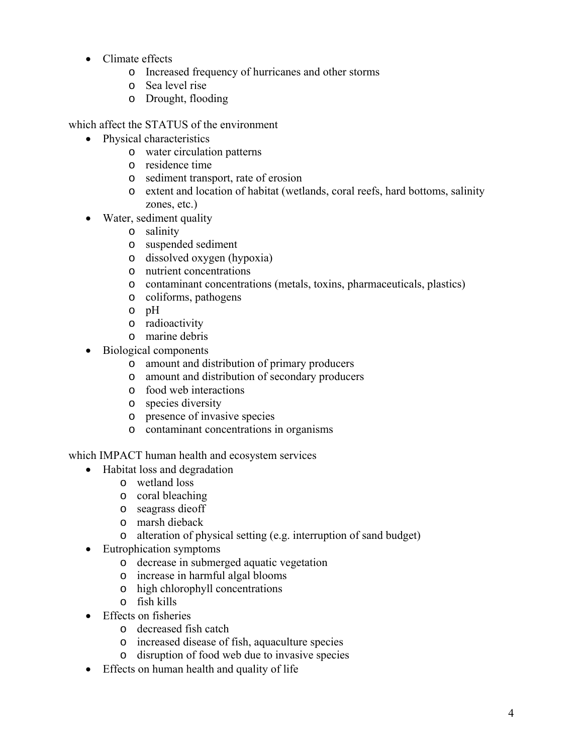- Climate effects
	- o Increased frequency of hurricanes and other storms
	- o Sea level rise
	- o Drought, flooding

which affect the STATUS of the environment

- Physical characteristics
	- o water circulation patterns
	- o residence time
	- o sediment transport, rate of erosion
	- o extent and location of habitat (wetlands, coral reefs, hard bottoms, salinity zones, etc.)
- Water, sediment quality
	- o salinity
	- o suspended sediment
	- o dissolved oxygen (hypoxia)
	- o nutrient concentrations
	- o contaminant concentrations (metals, toxins, pharmaceuticals, plastics)
	- o coliforms, pathogens
	- o pH
	- o radioactivity
	- o marine debris
- Biological components
	- o amount and distribution of primary producers
	- o amount and distribution of secondary producers
	- o food web interactions
	- o species diversity
	- o presence of invasive species
	- o contaminant concentrations in organisms

which IMPACT human health and ecosystem services

- Habitat loss and degradation
	- o wetland loss
	- o coral bleaching
	- o seagrass dieoff
	- o marsh dieback
	- o alteration of physical setting (e.g. interruption of sand budget)
- Eutrophication symptoms
	- o decrease in submerged aquatic vegetation
	- o increase in harmful algal blooms
	- o high chlorophyll concentrations
	- o fish kills
- Effects on fisheries
	- o decreased fish catch
	- o increased disease of fish, aquaculture species
	- o disruption of food web due to invasive species
- Effects on human health and quality of life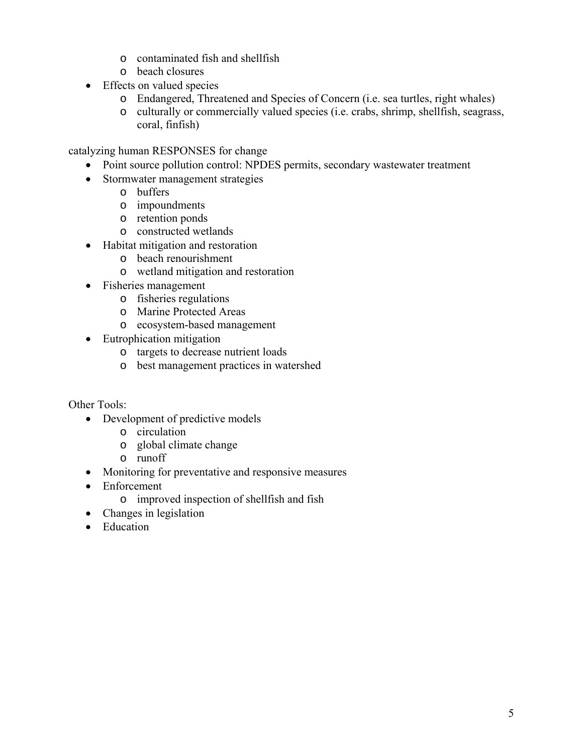- o contaminated fish and shellfish
- o beach closures
- Effects on valued species
	- o Endangered, Threatened and Species of Concern (i.e. sea turtles, right whales)
	- o culturally or commercially valued species (i.e. crabs, shrimp, shellfish, seagrass, coral, finfish)

catalyzing human RESPONSES for change

- Point source pollution control: NPDES permits, secondary wastewater treatment
- Stormwater management strategies
	- o buffers
	- o impoundments
	- o retention ponds
	- o constructed wetlands
- Habitat mitigation and restoration
	- o beach renourishment
	- o wetland mitigation and restoration
- Fisheries management
	- o fisheries regulations
	- o Marine Protected Areas
	- o ecosystem-based management
- Eutrophication mitigation
	- o targets to decrease nutrient loads
	- o best management practices in watershed

Other Tools:

- Development of predictive models
	- o circulation
	- o global climate change
	- o runoff
- Monitoring for preventative and responsive measures
- Enforcement
	- o improved inspection of shellfish and fish
- Changes in legislation
- Education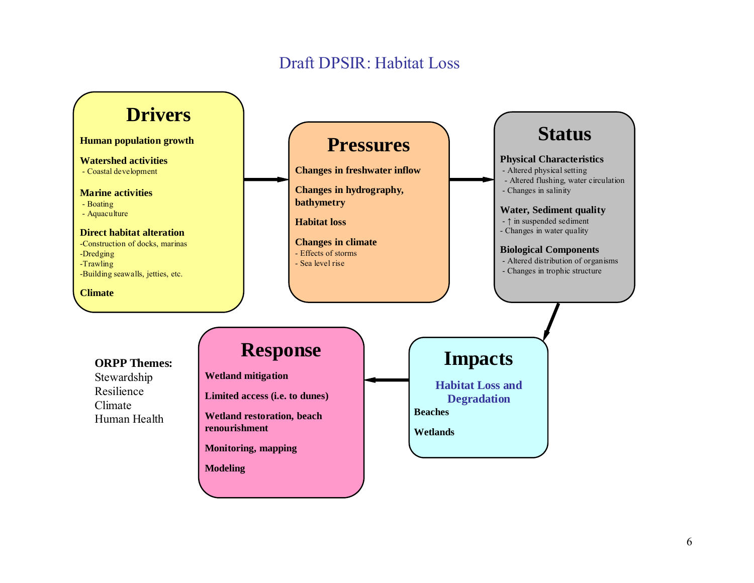# Draft DPSIR: Habitat Loss

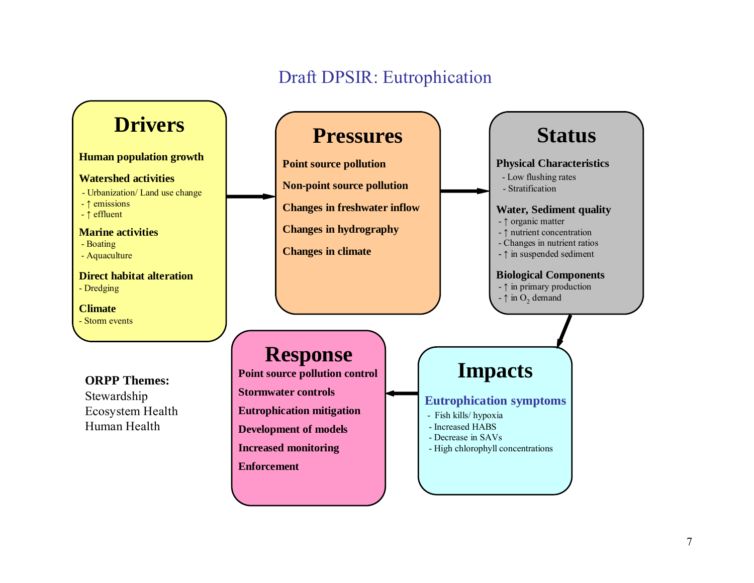# Draft DPSIR: Eutrophication

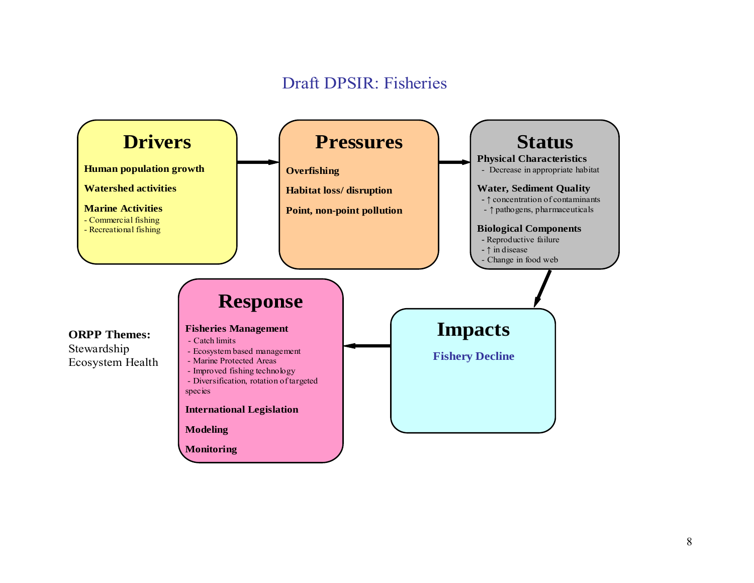# Draft DPSIR: Fisheries

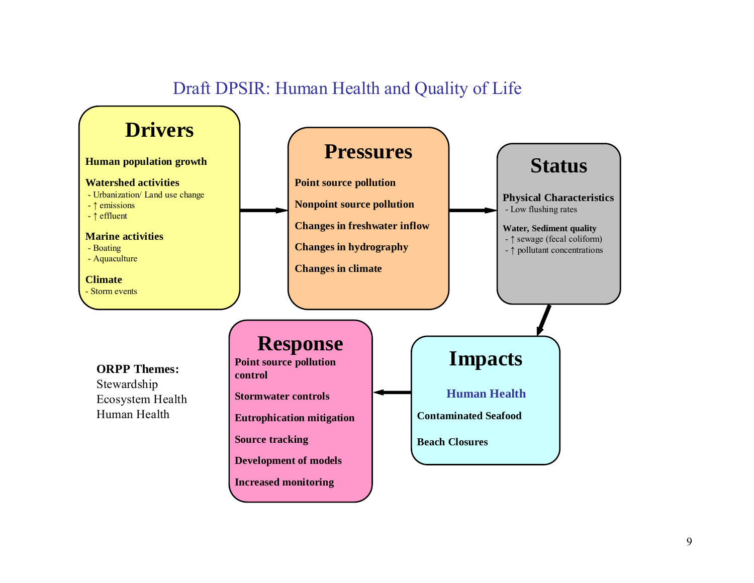# Draft DPSIR: Human Health and Quality of Life

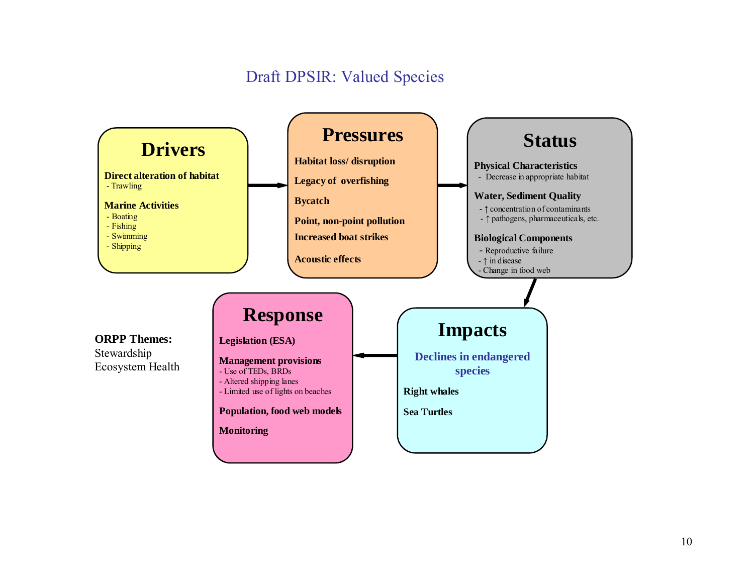# Draft DPSIR: Valued Species

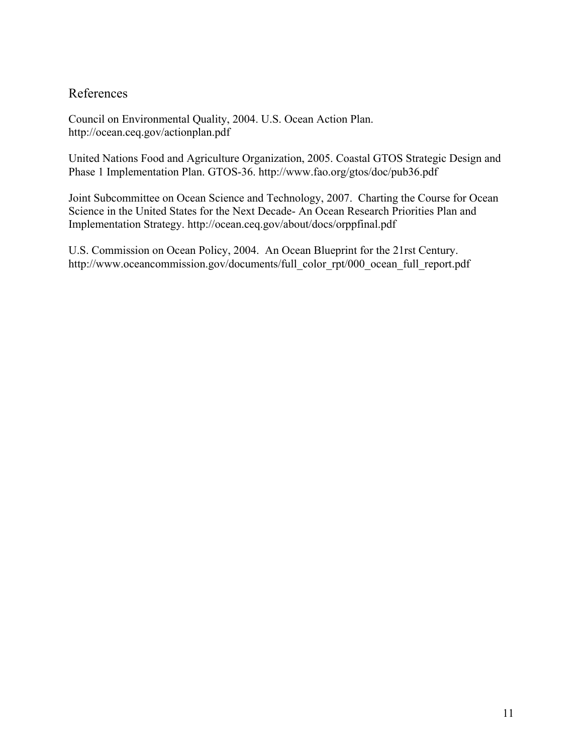## References

Council on Environmental Quality, 2004. U.S. Ocean Action Plan. http://ocean.ceq.gov/actionplan.pdf

United Nations Food and Agriculture Organization, 2005. Coastal GTOS Strategic Design and Phase 1 Implementation Plan. GTOS-36. http://www.fao.org/gtos/doc/pub36.pdf

Joint Subcommittee on Ocean Science and Technology, 2007. Charting the Course for Ocean Science in the United States for the Next Decade- An Ocean Research Priorities Plan and Implementation Strategy. http://ocean.ceq.gov/about/docs/orppfinal.pdf

U.S. Commission on Ocean Policy, 2004. An Ocean Blueprint for the 21rst Century. http://www.oceancommission.gov/documents/full\_color\_rpt/000\_ocean\_full\_report.pdf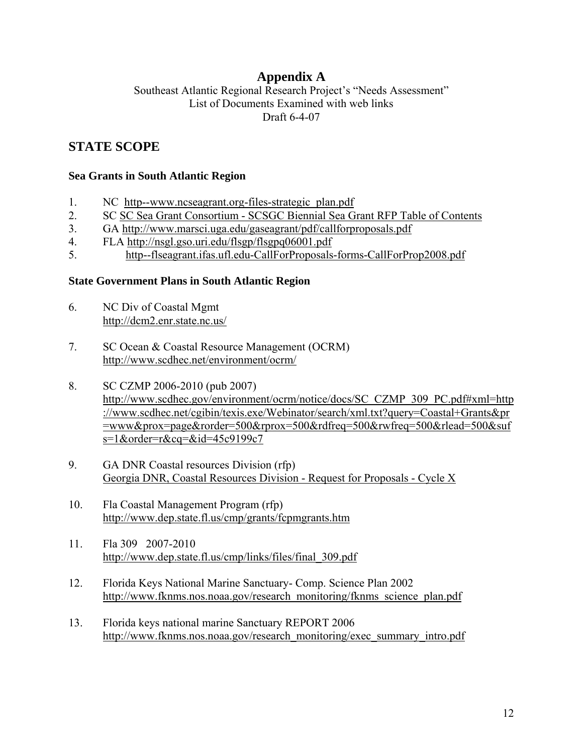# **Appendix A**

Southeast Atlantic Regional Research Project's "Needs Assessment" List of Documents Examined with web links Draft 6-4-07

## **STATE SCOPE**

#### **Sea Grants in South Atlantic Region**

- 1. NC http--www.ncseagrant.org-files-strategic\_plan.pdf
- 2. SC SC Sea Grant Consortium SCSGC Biennial Sea Grant RFP Table of Contents
- 3. GA http://www.marsci.uga.edu/gaseagrant/pdf/callforproposals.pdf
- 4. FLA http://nsgl.gso.uri.edu/flsgp/flsgpq06001.pdf
- 5. http--flseagrant.ifas.ufl.edu-CallForProposals-forms-CallForProp2008.pdf

#### **State Government Plans in South Atlantic Region**

- 6. NC Div of Coastal Mgmt http://dcm2.enr.state.nc.us/
- 7. SC Ocean & Coastal Resource Management (OCRM) http://www.scdhec.net/environment/ocrm/
- 8. SC CZMP 2006-2010 (pub 2007) http://www.scdhec.gov/environment/ocrm/notice/docs/SC\_CZMP\_309\_PC.pdf#xml=http ://www.scdhec.net/cgibin/texis.exe/Webinator/search/xml.txt?query=Coastal+Grants&pr =www&prox=page&rorder=500&rprox=500&rdfreq=500&rwfreq=500&rlead=500&suf s=1&order=r&cq=&id=45c9199c7
- 9. GA DNR Coastal resources Division (rfp) Georgia DNR, Coastal Resources Division - Request for Proposals - Cycle X
- 10. Fla Coastal Management Program (rfp) http://www.dep.state.fl.us/cmp/grants/fcpmgrants.htm
- 11. Fla 309 2007-2010 http://www.dep.state.fl.us/cmp/links/files/final\_309.pdf
- 12. Florida Keys National Marine Sanctuary- Comp. Science Plan 2002 http://www.fknms.nos.noaa.gov/research\_monitoring/fknms\_science\_plan.pdf
- 13. Florida keys national marine Sanctuary REPORT 2006 http://www.fknms.nos.noaa.gov/research\_monitoring/exec\_summary\_intro.pdf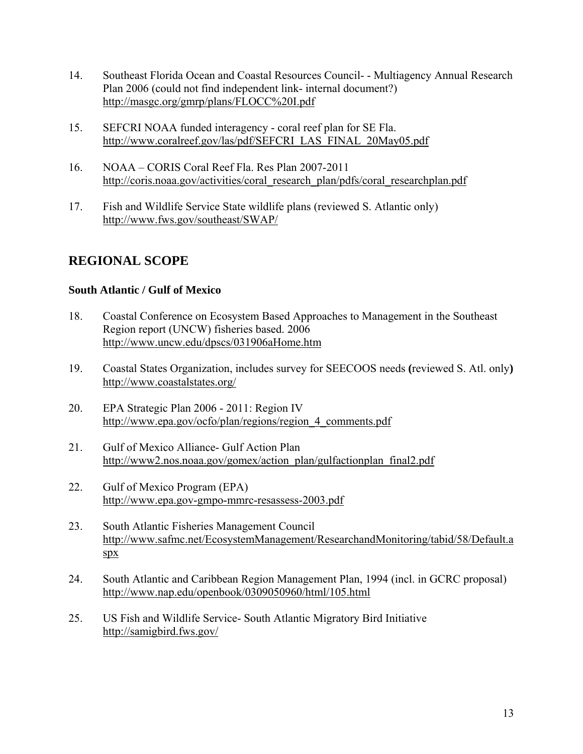- 14. Southeast Florida Ocean and Coastal Resources Council- Multiagency Annual Research Plan 2006 (could not find independent link- internal document?) http://masgc.org/gmrp/plans/FLOCC%20I.pdf
- 15. SEFCRI NOAA funded interagency coral reef plan for SE Fla. http://www.coralreef.gov/las/pdf/SEFCRI\_LAS\_FINAL\_20May05.pdf
- 16. NOAA CORIS Coral Reef Fla. Res Plan 2007-2011 http://coris.noaa.gov/activities/coral\_research\_plan/pdfs/coral\_researchplan.pdf
- 17. Fish and Wildlife Service State wildlife plans (reviewed S. Atlantic only) http://www.fws.gov/southeast/SWAP/

# **REGIONAL SCOPE**

#### **South Atlantic / Gulf of Mexico**

- 18. Coastal Conference on Ecosystem Based Approaches to Management in the Southeast Region report (UNCW) fisheries based. 2006 http://www.uncw.edu/dpscs/031906aHome.htm
- 19. Coastal States Organization, includes survey for SEECOOS needs **(**reviewed S. Atl. only**)** http://www.coastalstates.org/
- 20. EPA Strategic Plan 2006 2011: Region IV http://www.epa.gov/ocfo/plan/regions/region\_4\_comments.pdf
- 21. Gulf of Mexico Alliance- Gulf Action Plan http://www2.nos.noaa.gov/gomex/action\_plan/gulfactionplan\_final2.pdf
- 22. Gulf of Mexico Program (EPA) http://www.epa.gov-gmpo-mmrc-resassess-2003.pdf
- 23. South Atlantic Fisheries Management Council http://www.safmc.net/EcosystemManagement/ResearchandMonitoring/tabid/58/Default.a spx
- 24. South Atlantic and Caribbean Region Management Plan, 1994 (incl. in GCRC proposal) http://www.nap.edu/openbook/0309050960/html/105.html
- 25. US Fish and Wildlife Service- South Atlantic Migratory Bird Initiative http://samigbird.fws.gov/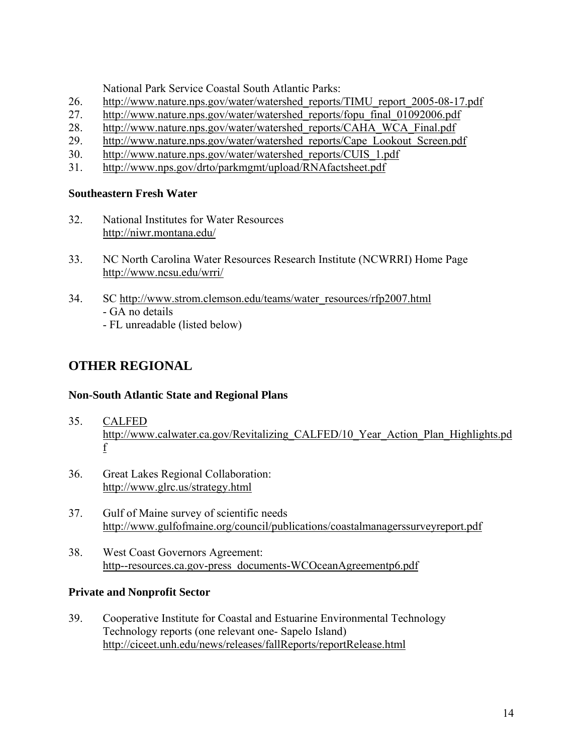National Park Service Coastal South Atlantic Parks:

- 26. http://www.nature.nps.gov/water/watershed\_reports/TIMU\_report\_2005-08-17.pdf
- 27. http://www.nature.nps.gov/water/watershed\_reports/fopu\_final\_01092006.pdf
- 28. http://www.nature.nps.gov/water/watershed\_reports/CAHA\_WCA\_Final.pdf
- 29. http://www.nature.nps.gov/water/watershed\_reports/Cape\_Lookout\_Screen.pdf
- 30. http://www.nature.nps.gov/water/watershed\_reports/CUIS\_1.pdf
- 31. http://www.nps.gov/drto/parkmgmt/upload/RNAfactsheet.pdf

#### **Southeastern Fresh Water**

- 32. National Institutes for Water Resources http://niwr.montana.edu/
- 33. NC North Carolina Water Resources Research Institute (NCWRRI) Home Page http://www.ncsu.edu/wrri/
- 34. SC http://www.strom.clemson.edu/teams/water\_resources/rfp2007.html - GA no details - FL unreadable (listed below)

**OTHER REGIONAL** 

# **Non-South Atlantic State and Regional Plans**

- 35. CALFED http://www.calwater.ca.gov/Revitalizing\_CALFED/10\_Year\_Action\_Plan\_Highlights.pd f
- 36. Great Lakes Regional Collaboration: http://www.glrc.us/strategy.html
- 37. Gulf of Maine survey of scientific needs http://www.gulfofmaine.org/council/publications/coastalmanagerssurveyreport.pdf
- 38. West Coast Governors Agreement: http--resources.ca.gov-press\_documents-WCOceanAgreementp6.pdf

### **Private and Nonprofit Sector**

39. Cooperative Institute for Coastal and Estuarine Environmental Technology Technology reports (one relevant one- Sapelo Island) http://ciceet.unh.edu/news/releases/fallReports/reportRelease.html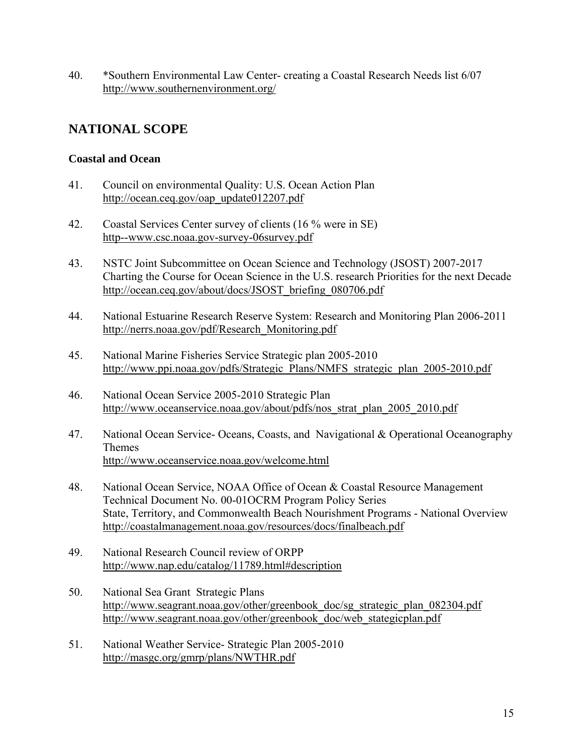40. \*Southern Environmental Law Center- creating a Coastal Research Needs list 6/07 http://www.southernenvironment.org/

## **NATIONAL SCOPE**

#### **Coastal and Ocean**

- 41. Council on environmental Quality: U.S. Ocean Action Plan http://ocean.ceq.gov/oap\_update012207.pdf
- 42. Coastal Services Center survey of clients (16 % were in SE) http--www.csc.noaa.gov-survey-06survey.pdf
- 43. NSTC Joint Subcommittee on Ocean Science and Technology (JSOST) 2007-2017 Charting the Course for Ocean Science in the U.S. research Priorities for the next Decade http://ocean.ceq.gov/about/docs/JSOST\_briefing\_080706.pdf
- 44. National Estuarine Research Reserve System: Research and Monitoring Plan 2006-2011 http://nerrs.noaa.gov/pdf/Research\_Monitoring.pdf
- 45. National Marine Fisheries Service Strategic plan 2005-2010 http://www.ppi.noaa.gov/pdfs/Strategic\_Plans/NMFS\_strategic\_plan\_2005-2010.pdf
- 46. National Ocean Service 2005-2010 Strategic Plan http://www.oceanservice.noaa.gov/about/pdfs/nos\_strat\_plan\_2005\_2010.pdf
- 47. National Ocean Service- Oceans, Coasts, and Navigational & Operational Oceanography Themes http://www.oceanservice.noaa.gov/welcome.html
- 48. National Ocean Service, NOAA Office of Ocean & Coastal Resource Management Technical Document No. 00-01OCRM Program Policy Series State, Territory, and Commonwealth Beach Nourishment Programs - National Overview http://coastalmanagement.noaa.gov/resources/docs/finalbeach.pdf
- 49. National Research Council review of ORPP http://www.nap.edu/catalog/11789.html#description
- 50. National Sea Grant Strategic Plans http://www.seagrant.noaa.gov/other/greenbook\_doc/sg\_strategic\_plan\_082304.pdf http://www.seagrant.noaa.gov/other/greenbook\_doc/web\_stategicplan.pdf
- 51. National Weather Service- Strategic Plan 2005-2010 http://masgc.org/gmrp/plans/NWTHR.pdf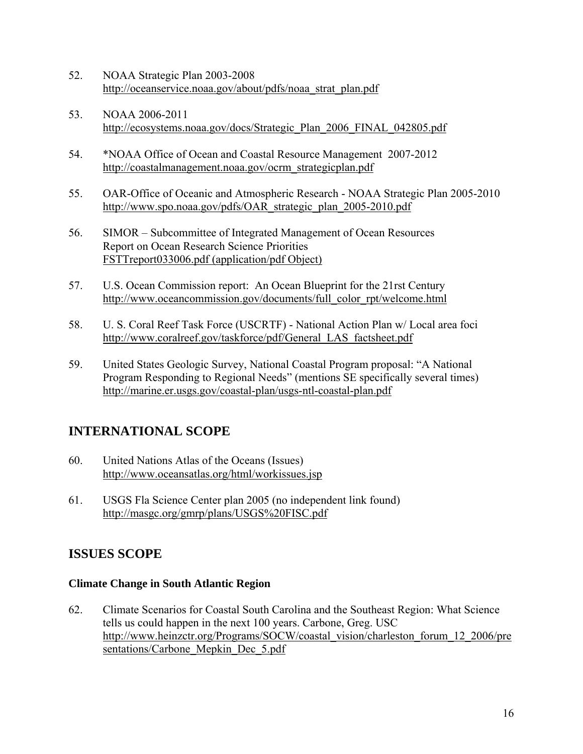- 52. NOAA Strategic Plan 2003-2008 http://oceanservice.noaa.gov/about/pdfs/noaa\_strat\_plan.pdf
- 53. NOAA 2006-2011 http://ecosystems.noaa.gov/docs/Strategic\_Plan\_2006\_FINAL\_042805.pdf
- 54. \*NOAA Office of Ocean and Coastal Resource Management 2007-2012 http://coastalmanagement.noaa.gov/ocrm\_strategicplan.pdf
- 55. OAR-Office of Oceanic and Atmospheric Research NOAA Strategic Plan 2005-2010 http://www.spo.noaa.gov/pdfs/OAR\_strategic\_plan\_2005-2010.pdf
- 56. SIMOR Subcommittee of Integrated Management of Ocean Resources Report on Ocean Research Science Priorities FSTTreport033006.pdf (application/pdf Object)
- 57. U.S. Ocean Commission report: An Ocean Blueprint for the 21rst Century http://www.oceancommission.gov/documents/full\_color\_rpt/welcome.html
- 58. U. S. Coral Reef Task Force (USCRTF) National Action Plan w/ Local area foci http://www.coralreef.gov/taskforce/pdf/General\_LAS\_factsheet.pdf
- 59. United States Geologic Survey, National Coastal Program proposal: "A National Program Responding to Regional Needs" (mentions SE specifically several times) http://marine.er.usgs.gov/coastal-plan/usgs-ntl-coastal-plan.pdf

# **INTERNATIONAL SCOPE**

- 60. United Nations Atlas of the Oceans (Issues) http://www.oceansatlas.org/html/workissues.jsp
- 61. USGS Fla Science Center plan 2005 (no independent link found) http://masgc.org/gmrp/plans/USGS%20FISC.pdf

# **ISSUES SCOPE**

### **Climate Change in South Atlantic Region**

62. Climate Scenarios for Coastal South Carolina and the Southeast Region: What Science tells us could happen in the next 100 years. Carbone, Greg. USC http://www.heinzctr.org/Programs/SOCW/coastal\_vision/charleston\_forum\_12\_2006/pre sentations/Carbone Mepkin Dec 5.pdf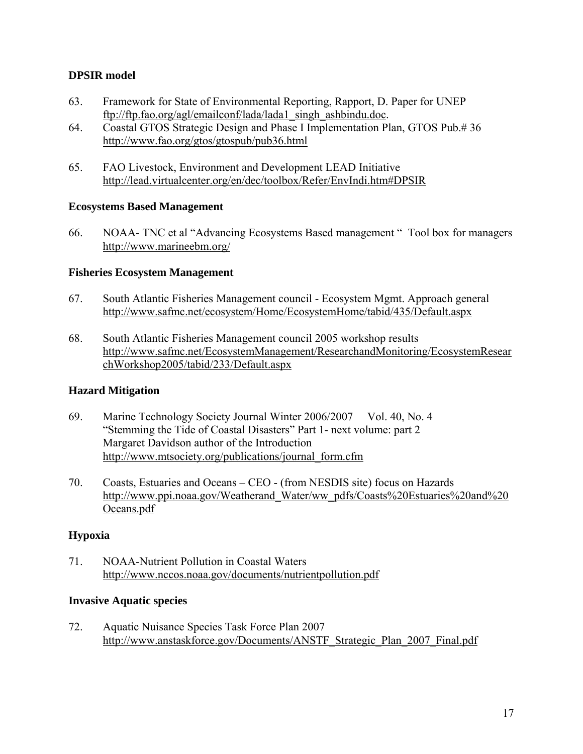#### **DPSIR model**

- 63. Framework for State of Environmental Reporting, Rapport, D. Paper for UNEP ftp://ftp.fao.org/agl/emailconf/lada/lada1\_singh\_ashbindu.doc.
- 64. Coastal GTOS Strategic Design and Phase I Implementation Plan, GTOS Pub.# 36 http://www.fao.org/gtos/gtospub/pub36.html
- 65. FAO Livestock, Environment and Development LEAD Initiative http://lead.virtualcenter.org/en/dec/toolbox/Refer/EnvIndi.htm#DPSIR

#### **Ecosystems Based Management**

66. NOAA- TNC et al "Advancing Ecosystems Based management " Tool box for managers http://www.marineebm.org/

#### **Fisheries Ecosystem Management**

- 67. South Atlantic Fisheries Management council Ecosystem Mgmt. Approach general http://www.safmc.net/ecosystem/Home/EcosystemHome/tabid/435/Default.aspx
- 68. South Atlantic Fisheries Management council 2005 workshop results http://www.safmc.net/EcosystemManagement/ResearchandMonitoring/EcosystemResear chWorkshop2005/tabid/233/Default.aspx

#### **Hazard Mitigation**

- 69. Marine Technology Society Journal Winter 2006/2007 Vol. 40, No. 4 "Stemming the Tide of Coastal Disasters" Part 1- next volume: part 2 Margaret Davidson author of the Introduction http://www.mtsociety.org/publications/journal\_form.cfm
- 70. Coasts, Estuaries and Oceans CEO (from NESDIS site) focus on Hazards http://www.ppi.noaa.gov/Weatherand\_Water/ww\_pdfs/Coasts%20Estuaries%20and%20 Oceans.pdf

#### **Hypoxia**

71. NOAA-Nutrient Pollution in Coastal Waters http://www.nccos.noaa.gov/documents/nutrientpollution.pdf

#### **Invasive Aquatic species**

72. Aquatic Nuisance Species Task Force Plan 2007 http://www.anstaskforce.gov/Documents/ANSTF\_Strategic\_Plan\_2007\_Final.pdf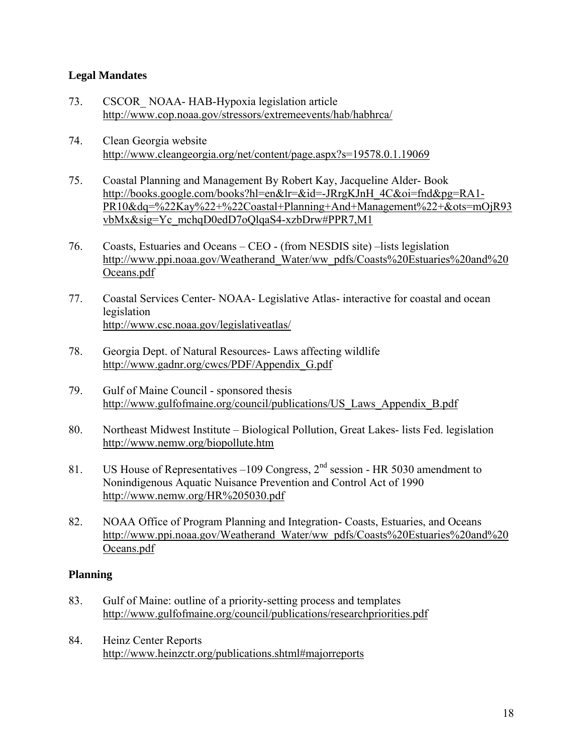#### **Legal Mandates**

- 73. CSCOR\_ NOAA- HAB-Hypoxia legislation article http://www.cop.noaa.gov/stressors/extremeevents/hab/habhrca/
- 74. Clean Georgia website http://www.cleangeorgia.org/net/content/page.aspx?s=19578.0.1.19069
- 75. Coastal Planning and Management By Robert Kay, Jacqueline Alder- Book http://books.google.com/books?hl=en&lr=&id=-JRrgKJnH\_4C&oi=fnd&pg=RA1- PR10&dq=%22Kay%22+%22Coastal+Planning+And+Management%22+&ots=mOjR93 vbMx&sig=Yc\_mchqD0edD7oQlqaS4-xzbDrw#PPR7,M1
- 76. Coasts, Estuaries and Oceans  $-CEO$  (from NESDIS site)  $-$ lists legislation http://www.ppi.noaa.gov/Weatherand\_Water/ww\_pdfs/Coasts%20Estuaries%20and%20 Oceans.pdf
- 77. Coastal Services Center- NOAA- Legislative Atlas- interactive for coastal and ocean legislation http://www.csc.noaa.gov/legislativeatlas/
- 78. Georgia Dept. of Natural Resources- Laws affecting wildlife http://www.gadnr.org/cwcs/PDF/Appendix\_G.pdf
- 79. Gulf of Maine Council sponsored thesis http://www.gulfofmaine.org/council/publications/US\_Laws\_Appendix\_B.pdf
- 80. Northeast Midwest Institute Biological Pollution, Great Lakes- lists Fed. legislation http://www.nemw.org/biopollute.htm
- 81. US House of Representatives –109 Congress,  $2<sup>nd</sup>$  session HR 5030 amendment to Nonindigenous Aquatic Nuisance Prevention and Control Act of 1990 http://www.nemw.org/HR%205030.pdf
- 82. NOAA Office of Program Planning and Integration- Coasts, Estuaries, and Oceans http://www.ppi.noaa.gov/Weatherand\_Water/ww\_pdfs/Coasts%20Estuaries%20and%20 Oceans.pdf

#### **Planning**

- 83. Gulf of Maine: outline of a priority-setting process and templates http://www.gulfofmaine.org/council/publications/researchpriorities.pdf
- 84. Heinz Center Reports http://www.heinzctr.org/publications.shtml#majorreports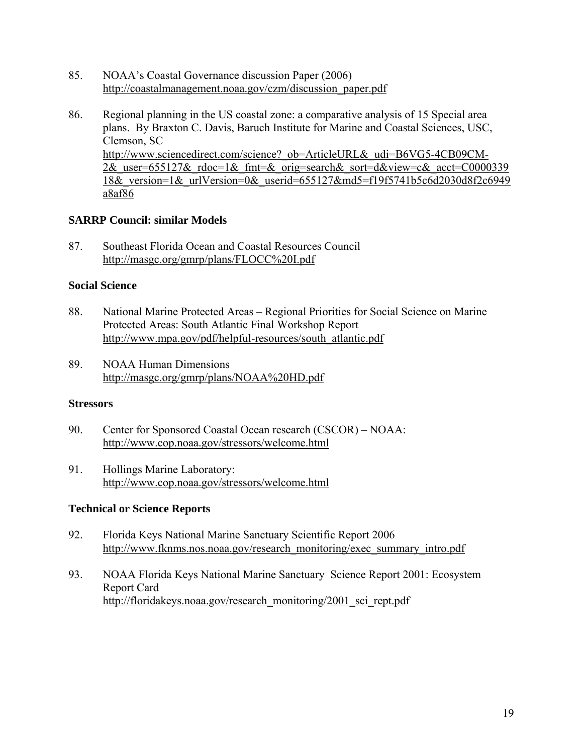- 85. NOAAís Coastal Governance discussion Paper (2006) http://coastalmanagement.noaa.gov/czm/discussion\_paper.pdf
- 86. Regional planning in the US coastal zone: a comparative analysis of 15 Special area plans. By Braxton C. Davis, Baruch Institute for Marine and Coastal Sciences, USC, Clemson, SC http://www.sciencedirect.com/science? ob=ArticleURL& udi=B6VG5-4CB09CM-2& user=655127& rdoc=1& fmt=& orig=search& sort=d&view=c& acct=C0000339 18& version=1& urlVersion=0& userid=655127&md5=f19f5741b5c6d2030d8f2c6949 a8af86

#### **SARRP Council: similar Models**

87. Southeast Florida Ocean and Coastal Resources Council http://masgc.org/gmrp/plans/FLOCC%20I.pdf

#### **Social Science**

- 88. National Marine Protected Areas Regional Priorities for Social Science on Marine Protected Areas: South Atlantic Final Workshop Report http://www.mpa.gov/pdf/helpful-resources/south\_atlantic.pdf
- 89. NOAA Human Dimensions http://masgc.org/gmrp/plans/NOAA%20HD.pdf

#### **Stressors**

- 90. Center for Sponsored Coastal Ocean research (CSCOR) NOAA: http://www.cop.noaa.gov/stressors/welcome.html
- 91. Hollings Marine Laboratory: http://www.cop.noaa.gov/stressors/welcome.html

#### **Technical or Science Reports**

- 92. Florida Keys National Marine Sanctuary Scientific Report 2006 http://www.fknms.nos.noaa.gov/research\_monitoring/exec\_summary\_intro.pdf
- 93. NOAA Florida Keys National Marine Sanctuary Science Report 2001: Ecosystem Report Card http://floridakeys.noaa.gov/research\_monitoring/2001\_sci\_rept.pdf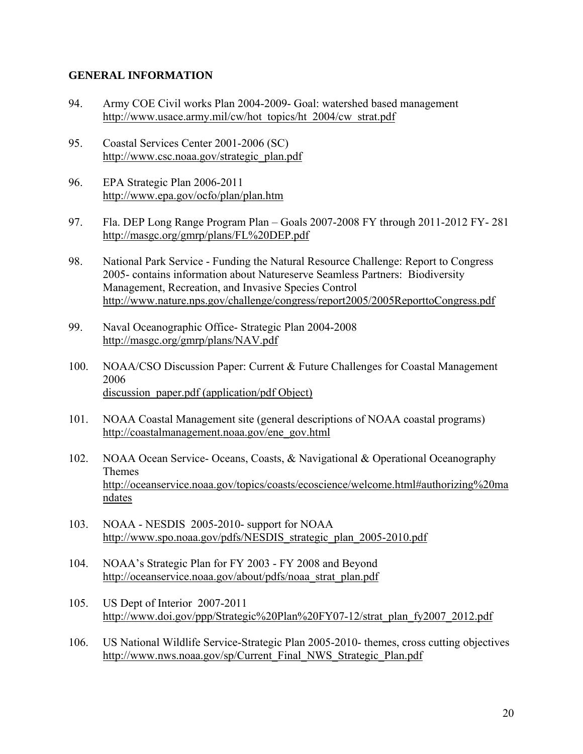#### **GENERAL INFORMATION**

- 94. Army COE Civil works Plan 2004-2009- Goal: watershed based management http://www.usace.army.mil/cw/hot\_topics/ht\_2004/cw\_strat.pdf
- 95. Coastal Services Center 2001-2006 (SC) http://www.csc.noaa.gov/strategic\_plan.pdf
- 96. EPA Strategic Plan 2006-2011 http://www.epa.gov/ocfo/plan/plan.htm
- 97. Fla. DEP Long Range Program Plan Goals 2007-2008 FY through 2011-2012 FY- 281 http://masgc.org/gmrp/plans/FL%20DEP.pdf
- 98. National Park Service Funding the Natural Resource Challenge: Report to Congress 2005- contains information about Natureserve Seamless Partners: Biodiversity Management, Recreation, and Invasive Species Control http://www.nature.nps.gov/challenge/congress/report2005/2005ReporttoCongress.pdf
- 99. Naval Oceanographic Office- Strategic Plan 2004-2008 http://masgc.org/gmrp/plans/NAV.pdf
- 100. NOAA/CSO Discussion Paper: Current & Future Challenges for Coastal Management 2006 discussion paper.pdf (application/pdf Object)
- 101. NOAA Coastal Management site (general descriptions of NOAA coastal programs) http://coastalmanagement.noaa.gov/ene\_gov.html
- 102. NOAA Ocean Service- Oceans, Coasts, & Navigational & Operational Oceanography Themes http://oceanservice.noaa.gov/topics/coasts/ecoscience/welcome.html#authorizing%20ma ndates
- 103. NOAA NESDIS 2005-2010- support for NOAA http://www.spo.noaa.gov/pdfs/NESDIS\_strategic\_plan\_2005-2010.pdf
- 104. NOAAís Strategic Plan for FY 2003 FY 2008 and Beyond http://oceanservice.noaa.gov/about/pdfs/noaa\_strat\_plan.pdf
- 105. US Dept of Interior 2007-2011 http://www.doi.gov/ppp/Strategic%20Plan%20FY07-12/strat\_plan\_fy2007\_2012.pdf
- 106. US National Wildlife Service-Strategic Plan 2005-2010- themes, cross cutting objectives http://www.nws.noaa.gov/sp/Current\_Final\_NWS\_Strategic\_Plan.pdf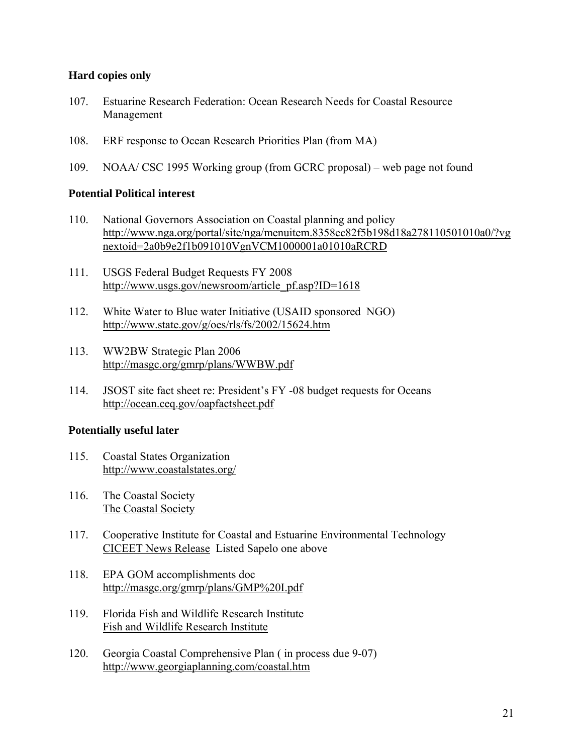#### **Hard copies only**

- 107. Estuarine Research Federation: Ocean Research Needs for Coastal Resource Management
- 108. ERF response to Ocean Research Priorities Plan (from MA)
- 109. NOAA/ CSC 1995 Working group (from GCRC proposal) web page not found

#### **Potential Political interest**

- 110. National Governors Association on Coastal planning and policy http://www.nga.org/portal/site/nga/menuitem.8358ec82f5b198d18a278110501010a0/?vg nextoid=2a0b9e2f1b091010VgnVCM1000001a01010aRCRD
- 111. USGS Federal Budget Requests FY 2008 http://www.usgs.gov/newsroom/article\_pf.asp?ID=1618
- 112. White Water to Blue water Initiative (USAID sponsored NGO) http://www.state.gov/g/oes/rls/fs/2002/15624.htm
- 113. WW2BW Strategic Plan 2006 http://masgc.org/gmrp/plans/WWBW.pdf
- 114. JSOST site fact sheet re: President's FY -08 budget requests for Oceans http://ocean.ceq.gov/oapfactsheet.pdf

#### **Potentially useful later**

- 115. Coastal States Organization http://www.coastalstates.org/
- 116. The Coastal Society The Coastal Society
- 117. Cooperative Institute for Coastal and Estuarine Environmental Technology CICEET News Release Listed Sapelo one above
- 118. EPA GOM accomplishments doc http://masgc.org/gmrp/plans/GMP%20I.pdf
- 119. Florida Fish and Wildlife Research Institute Fish and Wildlife Research Institute
- 120. Georgia Coastal Comprehensive Plan ( in process due 9-07) http://www.georgiaplanning.com/coastal.htm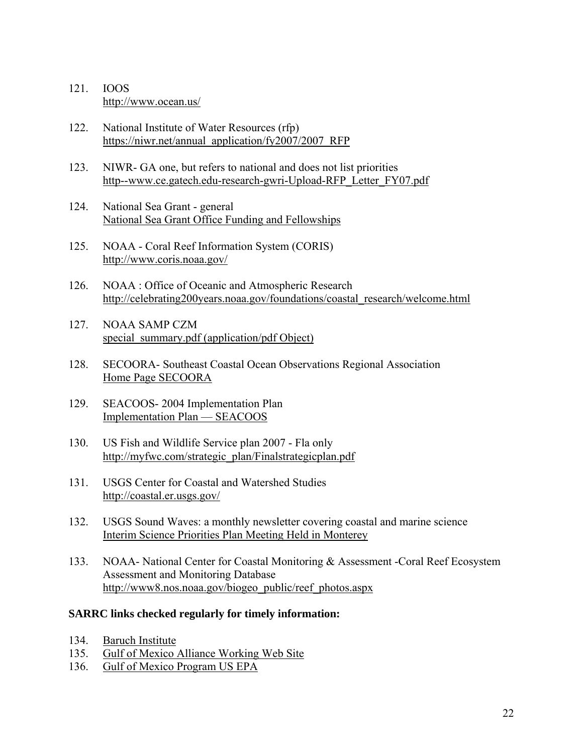- 121. IOOS http://www.ocean.us/
- 122. National Institute of Water Resources (rfp) https://niwr.net/annual\_application/fy2007/2007\_RFP
- 123. NIWR- GA one, but refers to national and does not list priorities http--www.ce.gatech.edu-research-gwri-Upload-RFP\_Letter\_FY07.pdf
- 124. National Sea Grant general National Sea Grant Office Funding and Fellowships
- 125. NOAA Coral Reef Information System (CORIS) http://www.coris.noaa.gov/
- 126. NOAA : Office of Oceanic and Atmospheric Research http://celebrating200years.noaa.gov/foundations/coastal\_research/welcome.html
- 127. NOAA SAMP CZM special\_summary.pdf (application/pdf Object)
- 128. SECOORA- Southeast Coastal Ocean Observations Regional Association Home Page SECOORA
- 129. SEACOOS- 2004 Implementation Plan Implementation Plan - SEACOOS
- 130. US Fish and Wildlife Service plan 2007 Fla only http://myfwc.com/strategic\_plan/Finalstrategicplan.pdf
- 131. USGS Center for Coastal and Watershed Studies http://coastal.er.usgs.gov/
- 132. USGS Sound Waves: a monthly newsletter covering coastal and marine science Interim Science Priorities Plan Meeting Held in Monterey
- 133. NOAA- National Center for Coastal Monitoring & Assessment -Coral Reef Ecosystem Assessment and Monitoring Database http://www8.nos.noaa.gov/biogeo\_public/reef\_photos.aspx

#### **SARRC links checked regularly for timely information:**

- 134. Baruch Institute
- 135. Gulf of Mexico Alliance Working Web Site
- 136. Gulf of Mexico Program US EPA